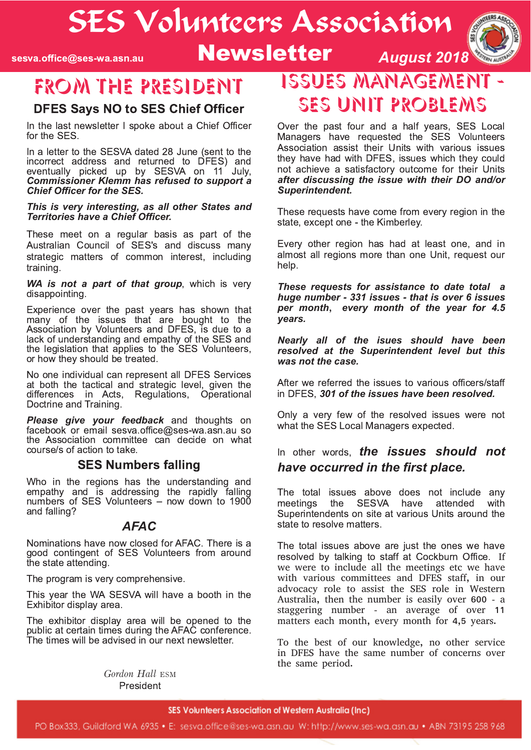# SES Volunteers Association

sesva.office@ses-wa.asn.au

### **Newsletter**



### FROM THE PRESIDENT

#### **DFES Savs NO to SES Chief Officer**

In the last newsletter I spoke about a Chief Officer for the SES.

In a letter to the SESVA dated 28 June (sent to the incorrect address and returned to DFES) and eventually picked up by SESVA on 11 July, **Commissioner Klemm has refused to support a Chief Officer for the SES.** 

#### This is very interesting, as all other States and **Territories have a Chief Officer.**

These meet on a regular basis as part of the Australian Council of SES's and discuss many strategic matters of common interest, including training.

WA is not a part of that group, which is very disappointing.

Experience over the past years has shown that many of the issues that are bought to the<br>Association by Volunteers and DFES, is due to a lack of understanding and empathy of the SES and the legislation that applies to the SES Volunteers, or how they should be treated.

No one individual can represent all DFES Services at both the tactical and strategic level, given the differences in Acts, Regulations, Operational Doctrine and Training.

Please give your feedback and thoughts on facebook or email sesva.office@ses-wa.asn.au so the Association committee can decide on what course/s of action to take.

#### **SES Numbers falling**

Who in the regions has the understanding and empathy and is addressing the rapidly falling numbers of SES Volunteers - now down to 1900 and falling?

#### **AFAC**

Nominations have now closed for AFAC. There is a good contingent of SES Volunteers from around the state attending.

The program is very comprehensive.

This year the WA SESVA will have a booth in the Exhibitor display area.

The exhibitor display area will be opened to the public at certain times during the AFAC conference. The times will be advised in our next newsletter.

> Gordon Hall ESM President

### **ISSUES MANAGEMEN** SES UNIT PROBLEMS

Over the past four and a half years, SES Local Managers have requested the SES Volunteers Association assist their Units with various issues they have had with DFES, issues which they could not achieve a satisfactory outcome for their Units after discussing the issue with their DO and/or Superintendent.

These requests have come from every region in the state, except one - the Kimberley.

Every other region has had at least one, and in almost all regions more than one Unit, request our help.

These requests for assistance to date total a huge number - 331 issues - that is over 6 issues per month, every month of the year for 4.5 vears.

Nearly all of the isues should have been resolved at the Superintendent level but this was not the case.

After we referred the issues to various officers/staff in DFES, 301 of the issues have been resolved.

Only a very few of the resolved issues were not what the SES Local Managers expected.

#### In other words. **the issues should not** have occurred in the first place.

The total issues above does not include any meetings the **SESVA** have attended with Superintendents on site at various Units around the state to resolve matters.

The total issues above are just the ones we have resolved by talking to staff at Cockburn Office. If we were to include all the meetings etc we have with various committees and DFES staff, in our advocacy role to assist the SES role in Western Australia, then the number is easily over 600 - a staggering number - an average of over 11 matters each month, every month for 4,5 years.

To the best of our knowledge, no other service in DFES have the same number of concerns over the same period.